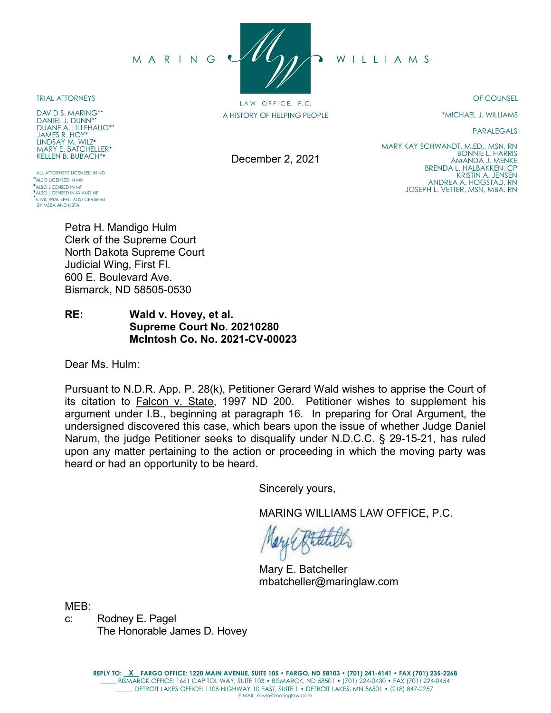MARING UVUAA WILLIAMS

TRIAL ATTORNEYS

DAVID S. MARING\*\* DANIEL J. DUNN\* DUANE A. LILLEHAUG\*• JAMES R. HOY\* LINDSAY M. WILZ MARY E. BATCHELLER\* KELLEN B. BUBACH\*

ALL ATTORNEYS LICENSED IN ND \*ALSO LICENSED IN MN **ALSO LICENSED IN MT** \*ALSO LICENSED IN IA AND NE CIVIL TRIAL SPECIALIST CERTIFIED BY MSBA AND NBTA

Petra H. Mandigo Hulm Clerk of the Supreme Court North Dakota Supreme Court Judicial Wing, First Fl. 600 E. Boulevard Ave. Bismarck, ND 58505-0530

**RE: Wald v. Hovey, et al. Supreme Court No. 20210280 McIntosh Co. No. 2021-CV-00023** 

Dear Ms. Hulm:

Pursuant to N.D.R. App. P. 28(k), Petitioner Gerard Wald wishes to apprise the Court of its citation to Falcon v. State, 1997 ND 200. Petitioner wishes to supplement his argument under I.B., beginning at paragraph 16. In preparing for Oral Argument, the undersigned discovered this case, which bears upon the issue of whether Judge Daniel Narum, the judge Petitioner seeks to disqualify under N.D.C.C. § 29-15-21, has ruled upon any matter pertaining to the action or proceeding in which the moving party was heard or had an opportunity to be heard.

Sincerely yours,

MARING WILLIAMS LAW OFFICE, P.C.

Mary E. Batcheller mbatcheller@maringlaw.com

MEB:

c: Rodney E. Pagel The Honorable James D. Hovey 20210280

FILED IN THE OFFICE OF THE CLERK OF SUPREME COURT DECEMBER 2, 2021 STATE OF NORTH DAKOTA

OF COUNSEL

\*MICHAEL J. WILLIAMS

BONNIE L. HARRIS AMANDA J. MENKE BRENDA L. HALBAKKEN, CP KRISTIN A. JENSEN ANDREA A. HOGSTAD, RN JOSEPH L. VETTER, MSN, MBA, RN

MARY KAY SCHWANDT, M.ED., MSN, RN

PARALEGALS

December 2, 2021

LAW OFFICE, P.C. A HISTORY OF HELPING PEOPLE